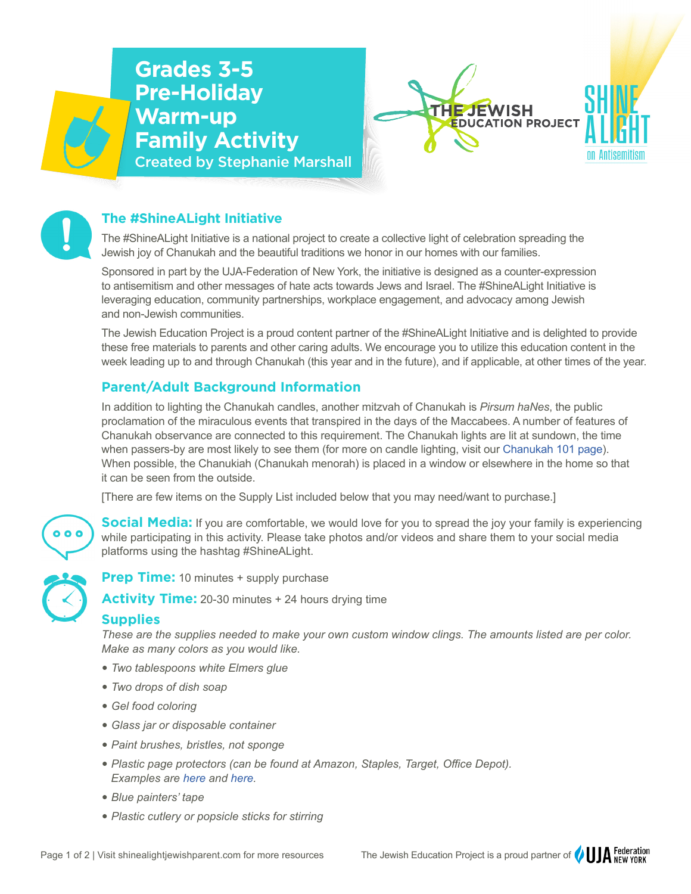





# **The #ShineALight Initiative**

The #ShineALight Initiative is a national project to create a collective light of celebration spreading the Jewish joy of Chanukah and the beautiful traditions we honor in our homes with our families.

Sponsored in part by the UJA-Federation of New York, the initiative is designed as a counter-expression to antisemitism and other messages of hate acts towards Jews and Israel. The #ShineALight Initiative is leveraging education, community partnerships, workplace engagement, and advocacy among Jewish and non-Jewish communities.

The Jewish Education Project is a proud content partner of the #ShineALight Initiative and is delighted to provide these free materials to parents and other caring adults. We encourage you to utilize this education content in the week leading up to and through Chanukah (this year and in the future), and if applicable, at other times of the year.

## **Parent/Adult Background Information**

In addition to lighting the Chanukah candles, another mitzvah of Chanukah is *Pirsum haNes*, the public proclamation of the miraculous events that transpired in the days of the Maccabees. A number of features of Chanukah observance are connected to this requirement. The Chanukah lights are lit at sundown, the time when passers-by are most likely to see them (for more on candle lighting, visit our [Chanukah 101 page](https://shinealightjewishparent.com/chanukah-background-information-and-blessings/)). When possible, the Chanukiah (Chanukah menorah) is placed in a window or elsewhere in the home so that it can be seen from the outside.

[There are few items on the Supply List included below that you may need/want to purchase.]



**Social Media:** If you are comfortable, we would love for you to spread the joy your family is experiencing while participating in this activity. Please take photos and/or videos and share them to your social media platforms using the hashtag #ShineALight.



**Prep Time:** 10 minutes + supply purchase

**Activity Time:** 20-30 minutes + 24 hours drying time

### **Supplies**

*These are the supplies needed to make your own custom window clings. The amounts listed are per color. Make as many colors as you would like.*

- � *Two tablespoons white Elmers glue*
- � *Two drops of dish soap*
- � *Gel food coloring*
- � *Glass jar or disposable container*
- � *Paint brushes, bristles, not sponge*
- � *Plastic page protectors (can be found at Amazon, Staples, Target, Office Depot). Examples are [here](https://www.amazon.com/Protectors-Plastic-Sleeves-Binders-Protector/dp/B07X7WYKP9/ref=pd_lpo_3?pd_rd_i=B07X7WYKP9&th=1) and [here.](https://www.staples.com/Staples-Polypropylene-Sheet-Protector-Semi-Clear-100-Pack-17702/product_812755)*
- � *Blue painters' tape*
- � *Plastic cutlery or popsicle sticks for stirring*